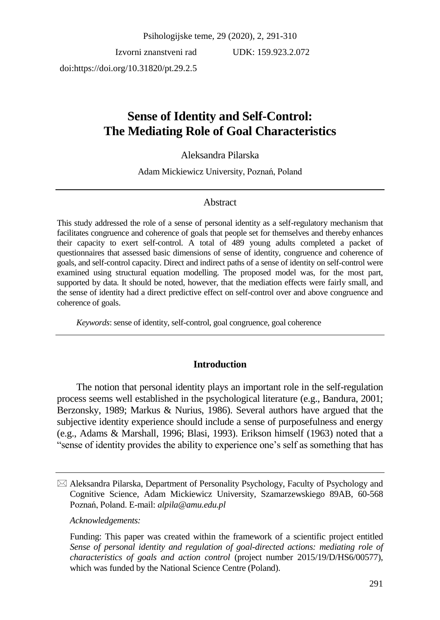Psihologijske teme, 29 (2020), 2, 291-310

Izvorni znanstveni rad doi:https://doi.org/10.31820/pt.29.2.5

UDK: 159.923.2.072

# **Sense of Identity and Self-Control: The Mediating Role of Goal Characteristics**

### Aleksandra Pilarska

Adam Mickiewicz University, Poznań, Poland

### Abstract

This study addressed the role of a sense of personal identity as a self-regulatory mechanism that facilitates congruence and coherence of goals that people set for themselves and thereby enhances their capacity to exert self-control. A total of 489 young adults completed a packet of questionnaires that assessed basic dimensions of sense of identity, congruence and coherence of goals, and self-control capacity. Direct and indirect paths of a sense of identity on self-control were examined using structural equation modelling. The proposed model was, for the most part, supported by data. It should be noted, however, that the mediation effects were fairly small, and the sense of identity had a direct predictive effect on self-control over and above congruence and coherence of goals.

*Keywords*: sense of identity, self-control, goal congruence, goal coherence

### **Introduction**

The notion that personal identity plays an important role in the self-regulation process seems well established in the psychological literature (e.g., Bandura, 2001; Berzonsky, 1989; Markus & Nurius, 1986). Several authors have argued that the subjective identity experience should include a sense of purposefulness and energy (e.g., Adams & Marshall, 1996; Blasi, 1993). Erikson himself (1963) noted that a "sense of identity provides the ability to experience one's self as something that has

*Acknowledgements:*

Funding: This paper was created within the framework of a scientific project entitled *Sense of personal identity and regulation of goal-directed actions: mediating role of characteristics of goals and action control* (project number 2015/19/D/HS6/00577), which was funded by the National Science Centre (Poland).

 $\boxtimes$  Aleksandra Pilarska, Department of Personality Psychology, Faculty of Psychology and Cognitive Science, Adam Mickiewicz University, Szamarzewskiego 89AB, 60-568 Poznań, Poland. E-mail: *alpila@amu.edu.pl*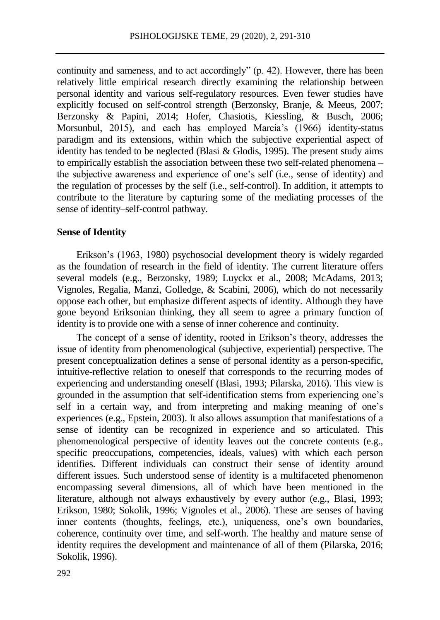continuity and sameness, and to act accordingly" (p. 42). However, there has been relatively little empirical research directly examining the relationship between personal identity and various self-regulatory resources. Even fewer studies have explicitly focused on self-control strength (Berzonsky, Branje, & Meeus, 2007; Berzonsky & Papini, 2014; Hofer, Chasiotis, Kiessling, & Busch, 2006; Morsunbul, 2015), and each has employed Marcia's (1966) identity-status paradigm and its extensions, within which the subjective experiential aspect of identity has tended to be neglected (Blasi & Glodis, 1995). The present study aims to empirically establish the association between these two self-related phenomena – the subjective awareness and experience of one's self (i.e., sense of identity) and the regulation of processes by the self (i.e., self-control). In addition, it attempts to contribute to the literature by capturing some of the mediating processes of the sense of identity–self-control pathway.

### **Sense of Identity**

Erikson's (1963, 1980) psychosocial development theory is widely regarded as the foundation of research in the field of identity. The current literature offers several models (e.g., Berzonsky, 1989; Luyckx et al., 2008; McAdams, 2013; Vignoles, Regalia, Manzi, Golledge, & Scabini, 2006), which do not necessarily oppose each other, but emphasize different aspects of identity. Although they have gone beyond Eriksonian thinking, they all seem to agree a primary function of identity is to provide one with a sense of inner coherence and continuity.

The concept of a sense of identity, rooted in Erikson's theory, addresses the issue of identity from phenomenological (subjective, experiential) perspective. The present conceptualization defines a sense of personal identity as a person-specific, intuitive-reflective relation to oneself that corresponds to the recurring modes of experiencing and understanding oneself (Blasi, 1993; Pilarska, 2016). This view is grounded in the assumption that self-identification stems from experiencing one's self in a certain way, and from interpreting and making meaning of one's experiences (e.g., Epstein, 2003). It also allows assumption that manifestations of a sense of identity can be recognized in experience and so articulated. This phenomenological perspective of identity leaves out the concrete contents (e.g., specific preoccupations, competencies, ideals, values) with which each person identifies. Different individuals can construct their sense of identity around different issues. Such understood sense of identity is a multifaceted phenomenon encompassing several dimensions, all of which have been mentioned in the literature, although not always exhaustively by every author (e.g., Blasi, 1993; Erikson, 1980; Sokolik, 1996; Vignoles et al., 2006). These are senses of having inner contents (thoughts, feelings, etc.), uniqueness, one's own boundaries, coherence, continuity over time, and self-worth. The healthy and mature sense of identity requires the development and maintenance of all of them (Pilarska, 2016; Sokolik, 1996).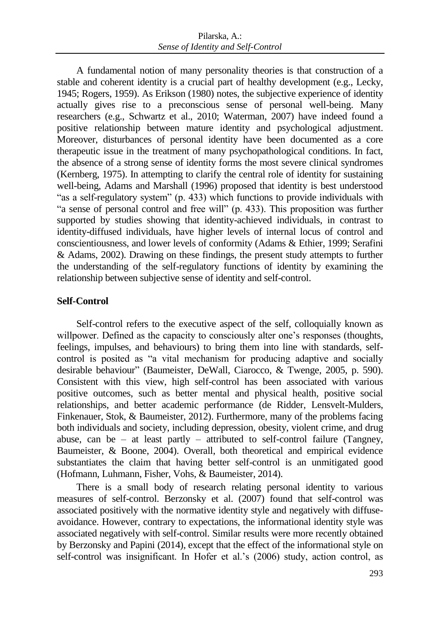A fundamental notion of many personality theories is that construction of a stable and coherent identity is a crucial part of healthy development (e.g., Lecky, 1945; Rogers, 1959). As Erikson (1980) notes, the subjective experience of identity actually gives rise to a preconscious sense of personal well-being. Many researchers (e.g., Schwartz et al., 2010; Waterman, 2007) have indeed found a positive relationship between mature identity and psychological adjustment. Moreover, disturbances of personal identity have been documented as a core therapeutic issue in the treatment of many psychopathological conditions. In fact, the absence of a strong sense of identity forms the most severe clinical syndromes (Kernberg, 1975). In attempting to clarify the central role of identity for sustaining well-being, Adams and Marshall (1996) proposed that identity is best understood "as a self-regulatory system" (p. 433) which functions to provide individuals with "a sense of personal control and free will" (p. 433). This proposition was further supported by studies showing that identity-achieved individuals, in contrast to identity-diffused individuals, have higher levels of internal locus of control and conscientiousness, and lower levels of conformity (Adams & Ethier, 1999; Serafini & Adams, 2002). Drawing on these findings, the present study attempts to further the understanding of the self-regulatory functions of identity by examining the relationship between subjective sense of identity and self-control.

### **Self-Control**

Self-control refers to the executive aspect of the self, colloquially known as willpower. Defined as the capacity to consciously alter one's responses (thoughts, feelings, impulses, and behaviours) to bring them into line with standards, selfcontrol is posited as "a vital mechanism for producing adaptive and socially desirable behaviour" (Baumeister, DeWall, Ciarocco, & Twenge, 2005, p. 590). Consistent with this view, high self-control has been associated with various positive outcomes, such as better mental and physical health, positive social relationships, and better academic performance (de Ridder, Lensvelt-Mulders, Finkenauer, Stok, & Baumeister, 2012). Furthermore, many of the problems facing both individuals and society, including depression, obesity, violent crime, and drug abuse, can be  $-$  at least partly  $-$  attributed to self-control failure (Tangney, Baumeister, & Boone, 2004). Overall, both theoretical and empirical evidence substantiates the claim that having better self-control is an unmitigated good (Hofmann, Luhmann, Fisher, Vohs, & Baumeister, 2014).

There is a small body of research relating personal identity to various measures of self-control. Berzonsky et al. (2007) found that self-control was associated positively with the normative identity style and negatively with diffuseavoidance. However, contrary to expectations, the informational identity style was associated negatively with self-control. Similar results were more recently obtained by Berzonsky and Papini (2014), except that the effect of the informational style on self-control was insignificant. In Hofer et al.'s (2006) study, action control, as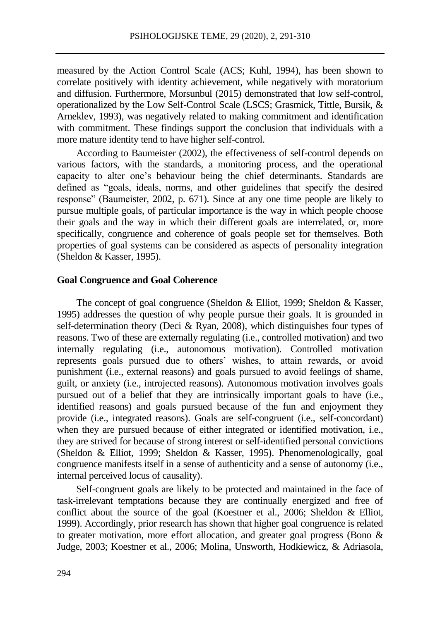measured by the Action Control Scale (ACS; Kuhl, 1994), has been shown to correlate positively with identity achievement, while negatively with moratorium and diffusion. Furthermore, Morsunbul (2015) demonstrated that low self-control, operationalized by the Low Self-Control Scale (LSCS; Grasmick, Tittle, Bursik, & Arneklev, 1993), was negatively related to making commitment and identification with commitment. These findings support the conclusion that individuals with a more mature identity tend to have higher self-control.

According to Baumeister (2002), the effectiveness of self-control depends on various factors, with the standards, a monitoring process, and the operational capacity to alter one's behaviour being the chief determinants. Standards are defined as "goals, ideals, norms, and other guidelines that specify the desired response" (Baumeister, 2002, p. 671). Since at any one time people are likely to pursue multiple goals, of particular importance is the way in which people choose their goals and the way in which their different goals are interrelated, or, more specifically, congruence and coherence of goals people set for themselves. Both properties of goal systems can be considered as aspects of personality integration (Sheldon & Kasser, 1995).

#### **Goal Congruence and Goal Coherence**

The concept of goal congruence (Sheldon & Elliot, 1999; Sheldon & Kasser, 1995) addresses the question of why people pursue their goals. It is grounded in self-determination theory (Deci & Ryan, 2008), which distinguishes four types of reasons. Two of these are externally regulating (i.e., controlled motivation) and two internally regulating (i.e., autonomous motivation). Controlled motivation represents goals pursued due to others' wishes, to attain rewards, or avoid punishment (i.e., external reasons) and goals pursued to avoid feelings of shame, guilt, or anxiety (i.e., introjected reasons). Autonomous motivation involves goals pursued out of a belief that they are intrinsically important goals to have (i.e., identified reasons) and goals pursued because of the fun and enjoyment they provide (i.e., integrated reasons). Goals are self-congruent (i.e., self-concordant) when they are pursued because of either integrated or identified motivation, i.e., they are strived for because of strong interest or self-identified personal convictions (Sheldon & Elliot, 1999; Sheldon & Kasser, 1995). Phenomenologically, goal congruence manifests itself in a sense of authenticity and a sense of autonomy (i.e., internal perceived locus of causality).

Self-congruent goals are likely to be protected and maintained in the face of task-irrelevant temptations because they are continually energized and free of conflict about the source of the goal (Koestner et al., 2006; Sheldon & Elliot, 1999). Accordingly, prior research has shown that higher goal congruence is related to greater motivation, more effort allocation, and greater goal progress (Bono & Judge, 2003; Koestner et al., 2006; Molina, Unsworth, Hodkiewicz, & Adriasola,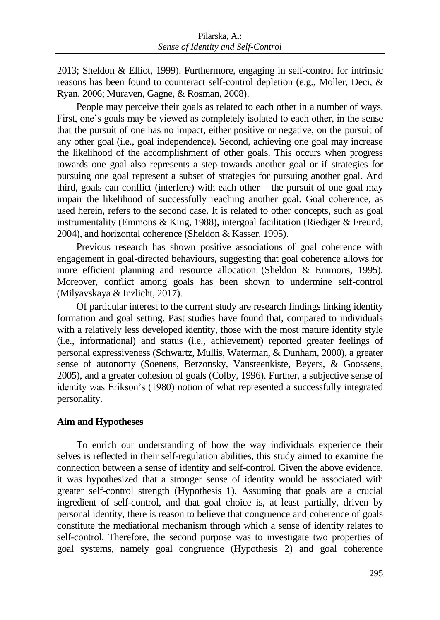2013; Sheldon & Elliot, 1999). Furthermore, engaging in self-control for intrinsic reasons has been found to counteract self-control depletion (e.g., Moller, Deci, & Ryan, 2006; Muraven, Gagne, & Rosman, 2008).

People may perceive their goals as related to each other in a number of ways. First, one's goals may be viewed as completely isolated to each other, in the sense that the pursuit of one has no impact, either positive or negative, on the pursuit of any other goal (i.e., goal independence). Second, achieving one goal may increase the likelihood of the accomplishment of other goals. This occurs when progress towards one goal also represents a step towards another goal or if strategies for pursuing one goal represent a subset of strategies for pursuing another goal. And third, goals can conflict (interfere) with each other – the pursuit of one goal may impair the likelihood of successfully reaching another goal. Goal coherence, as used herein, refers to the second case. It is related to other concepts, such as goal instrumentality (Emmons & King, 1988), intergoal facilitation (Riediger & Freund, 2004), and horizontal coherence (Sheldon & Kasser, 1995).

Previous research has shown positive associations of goal coherence with engagement in goal-directed behaviours, suggesting that goal coherence allows for more efficient planning and resource allocation (Sheldon & Emmons, 1995). Moreover, conflict among goals has been shown to undermine self-control (Milyavskaya & Inzlicht, 2017).

Of particular interest to the current study are research findings linking identity formation and goal setting. Past studies have found that, compared to individuals with a relatively less developed identity, those with the most mature identity style (i.e., informational) and status (i.e., achievement) reported greater feelings of personal expressiveness (Schwartz, Mullis, Waterman, & Dunham, 2000), a greater sense of autonomy (Soenens, Berzonsky, Vansteenkiste, Beyers, & Goossens, 2005), and a greater cohesion of goals (Colby, 1996). Further, a subjective sense of identity was Erikson's (1980) notion of what represented a successfully integrated personality.

### **Aim and Hypotheses**

To enrich our understanding of how the way individuals experience their selves is reflected in their self-regulation abilities, this study aimed to examine the connection between a sense of identity and self-control. Given the above evidence, it was hypothesized that a stronger sense of identity would be associated with greater self-control strength (Hypothesis 1). Assuming that goals are a crucial ingredient of self-control, and that goal choice is, at least partially, driven by personal identity, there is reason to believe that congruence and coherence of goals constitute the mediational mechanism through which a sense of identity relates to self-control. Therefore, the second purpose was to investigate two properties of goal systems, namely goal congruence (Hypothesis 2) and goal coherence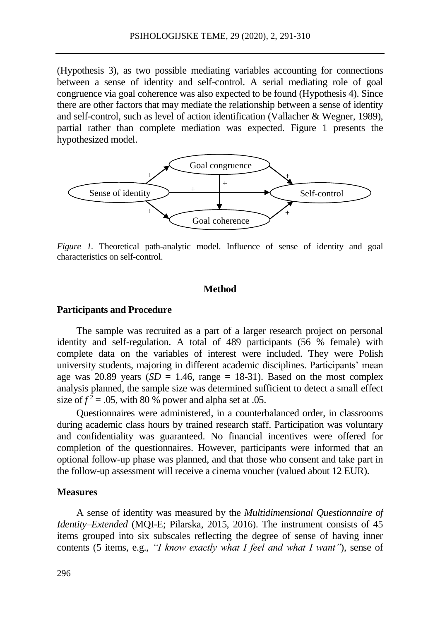(Hypothesis 3), as two possible mediating variables accounting for connections between a sense of identity and self-control. A serial mediating role of goal congruence via goal coherence was also expected to be found (Hypothesis 4). Since there are other factors that may mediate the relationship between a sense of identity and self-control, such as level of action identification (Vallacher & Wegner, 1989), partial rather than complete mediation was expected. Figure 1 presents the hypothesized model.



*Figure 1.* Theoretical path-analytic model. Influence of sense of identity and goal characteristics on self-control.

### **Method**

#### **Participants and Procedure**

The sample was recruited as a part of a larger research project on personal identity and self-regulation. A total of 489 participants (56 % female) with complete data on the variables of interest were included. They were Polish university students, majoring in different academic disciplines. Participants' mean age was 20.89 years  $(SD = 1.46$ , range = 18-31). Based on the most complex analysis planned, the sample size was determined sufficient to detect a small effect size of  $f^2 = 0.05$ , with 80 % power and alpha set at 0.05.

Questionnaires were administered, in a counterbalanced order, in classrooms during academic class hours by trained research staff. Participation was voluntary and confidentiality was guaranteed. No financial incentives were offered for completion of the questionnaires. However, participants were informed that an optional follow-up phase was planned, and that those who consent and take part in the follow-up assessment will receive a cinema voucher (valued about 12 EUR).

#### **Measures**

A sense of identity was measured by the *Multidimensional Questionnaire of Identity–Extended* (MQI-E; Pilarska, 2015, 2016). The instrument consists of 45 items grouped into six subscales reflecting the degree of sense of having inner contents (5 items, e.g., *"I know exactly what I feel and what I want"*), sense of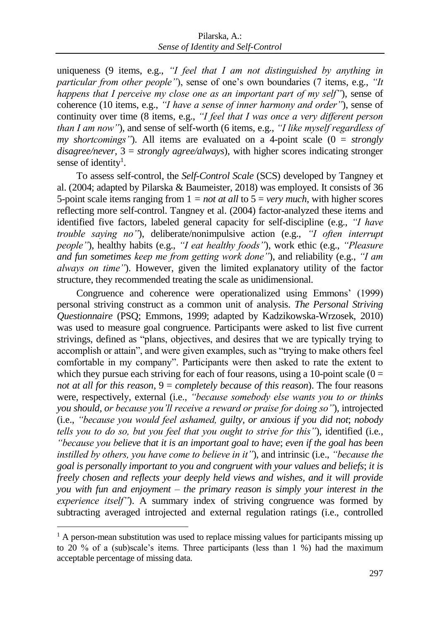uniqueness (9 items, e.g., *"I feel that I am not distinguished by anything in particular from other people"*), sense of one's own boundaries (7 items, e.g., *"It happens that I perceive my close one as an important part of my self"*), sense of coherence (10 items, e.g., *"I have a sense of inner harmony and order"*), sense of continuity over time (8 items, e.g., *"I feel that I was once a very different person than I am now"*), and sense of self-worth (6 items, e.g., *"I like myself regardless of my shortcomings*"). All items are evaluated on a 4-point scale  $(0 = strongly)$ *disagree/never*, 3 = *strongly agree/always*), with higher scores indicating stronger sense of identity<sup>1</sup>.

To assess self-control, the *Self-Control Scale* (SCS) developed by Tangney et al. (2004; adapted by Pilarska & Baumeister, 2018) was employed. It consists of 36 5-point scale items ranging from  $1 = not$  *at all* to  $5 = very$  *much*, with higher scores reflecting more self-control. Tangney et al. (2004) factor-analyzed these items and identified five factors, labeled general capacity for self-discipline (e.g., *"I have trouble saying no"*), deliberate/nonimpulsive action (e.g., *"I often interrupt people"*), healthy habits (e.g., *"I eat healthy foods"*), work ethic (e.g., *"Pleasure and fun sometimes keep me from getting work done"*), and reliability (e.g., *"I am always on time"*). However, given the limited explanatory utility of the factor structure, they recommended treating the scale as unidimensional.

Congruence and coherence were operationalized using Emmons' (1999) personal striving construct as a common unit of analysis. *The Personal Striving Questionnaire* (PSQ; Emmons, 1999; adapted by Kadzikowska-Wrzosek, 2010) was used to measure goal congruence. Participants were asked to list five current strivings, defined as "plans, objectives, and desires that we are typically trying to accomplish or attain", and were given examples, such as "trying to make others feel comfortable in my company". Participants were then asked to rate the extent to which they pursue each striving for each of four reasons, using a 10-point scale  $(0 =$ *not at all for this reason*, 9 = *completely because of this reason*). The four reasons were, respectively, external (i.e., *"because somebody else wants you to or thinks you should, or because you'll receive a reward or praise for doing so"*), introjected (i.e., *"because you would feel ashamed, guilty, or anxious if you did not*; *nobody tells you to do so, but you feel that you ought to strive for this"*), identified (i.e*., "because you believe that it is an important goal to have*; *even if the goal has been instilled by others, you have come to believe in it"*), and intrinsic (i.e., *"because the goal is personally important to you and congruent with your values and beliefs*; *it is freely chosen and reflects your deeply held views and wishes, and it will provide you with fun and enjoyment – the primary reason is simply your interest in the experience itself"*). A summary index of striving congruence was formed by subtracting averaged introjected and external regulation ratings (i.e., controlled

 $\ddot{\phantom{a}}$ 

 $1$  A person-mean substitution was used to replace missing values for participants missing up to 20 % of a (sub)scale's items. Three participants (less than 1 %) had the maximum acceptable percentage of missing data.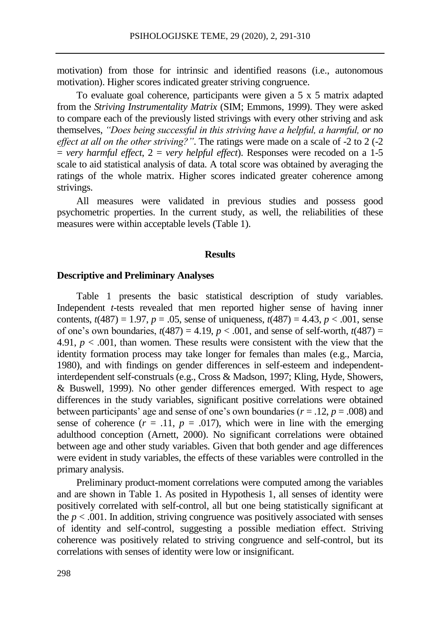motivation) from those for intrinsic and identified reasons (i.e., autonomous motivation). Higher scores indicated greater striving congruence.

To evaluate goal coherence, participants were given a 5 x 5 matrix adapted from the *Striving Instrumentality Matrix* (SIM; Emmons, 1999). They were asked to compare each of the previously listed strivings with every other striving and ask themselves, *"Does being successful in this striving have a helpful, a harmful, or no effect at all on the other striving?"*. The ratings were made on a scale of -2 to 2 (-2  $=$  *very harmful effect*,  $2 =$  *very helpful effect*). Responses were recoded on a 1-5 scale to aid statistical analysis of data. A total score was obtained by averaging the ratings of the whole matrix. Higher scores indicated greater coherence among strivings.

All measures were validated in previous studies and possess good psychometric properties. In the current study, as well, the reliabilities of these measures were within acceptable levels (Table 1).

#### **Results**

#### **Descriptive and Preliminary Analyses**

Table 1 presents the basic statistical description of study variables. Independent *t*-tests revealed that men reported higher sense of having inner contents,  $t(487) = 1.97$ ,  $p = .05$ , sense of uniqueness,  $t(487) = 4.43$ ,  $p < .001$ , sense of one's own boundaries,  $t(487) = 4.19$ ,  $p < .001$ , and sense of self-worth,  $t(487) =$ 4.91,  $p < .001$ , than women. These results were consistent with the view that the identity formation process may take longer for females than males (e.g., Marcia, 1980), and with findings on gender differences in self-esteem and independentinterdependent self-construals (e.g., Cross & Madson, 1997; Kling, Hyde, Showers, & Buswell, 1999). No other gender differences emerged. With respect to age differences in the study variables, significant positive correlations were obtained between participants' age and sense of one's own boundaries ( $r = .12$ ,  $p = .008$ ) and sense of coherence  $(r = .11, p = .017)$ , which were in line with the emerging adulthood conception (Arnett, 2000). No significant correlations were obtained between age and other study variables. Given that both gender and age differences were evident in study variables, the effects of these variables were controlled in the primary analysis.

Preliminary product-moment correlations were computed among the variables and are shown in Table 1. As posited in Hypothesis 1, all senses of identity were positively correlated with self-control, all but one being statistically significant at the  $p < .001$ . In addition, striving congruence was positively associated with senses of identity and self-control, suggesting a possible mediation effect. Striving coherence was positively related to striving congruence and self-control, but its correlations with senses of identity were low or insignificant.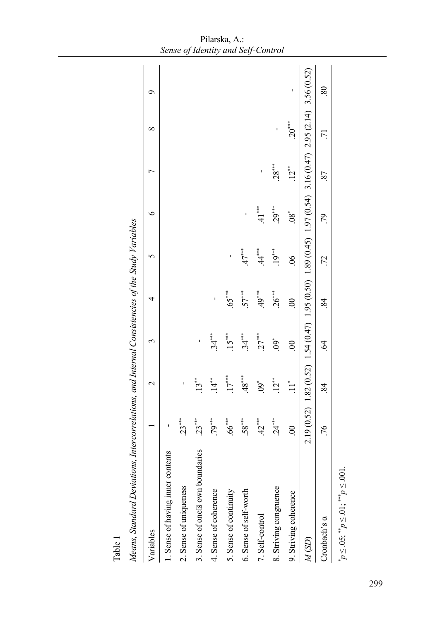| Table 1                                                                                          |                |              |                      |          |                           |                 |                |                                                                                                               |    |
|--------------------------------------------------------------------------------------------------|----------------|--------------|----------------------|----------|---------------------------|-----------------|----------------|---------------------------------------------------------------------------------------------------------------|----|
| Means, Standard Deviations, Intercorrelations, and Internal Consistencies of the Study Variables |                |              |                      |          |                           |                 |                |                                                                                                               |    |
| Variables                                                                                        |                | $\mathbf{C}$ | 3                    | 4        | 5                         | $\circ$         | $\overline{ }$ | $\infty$                                                                                                      | Ç  |
| 1. Sense of having inner contents                                                                |                |              |                      |          |                           |                 |                |                                                                                                               |    |
| 2. Sense of uniqueness                                                                           | $23***$        | ı            |                      |          |                           |                 |                |                                                                                                               |    |
| 3. Sense of one <sup>[3</sup> own boundaries                                                     | $23***$        | $13**$       |                      |          |                           |                 |                |                                                                                                               |    |
| 4. Sense of coherence                                                                            | $.79***$       | $14^*$       | ***<br>34.           | ı        |                           |                 |                |                                                                                                               |    |
| 5. Sense of continuity                                                                           | $.66***$       | $17***$      | $15***$              | $65***$  |                           |                 |                |                                                                                                               |    |
| 6. Sense of self-worth                                                                           | $.58***$       | $48***$      | $34***$              | $57***$  | $.47***$                  | ı               |                |                                                                                                               |    |
| 7. Self-control                                                                                  | $42***$        | $\ddot{6}$   | $27***$              | $49***$  | ***;<br>4.                | $41***$         |                |                                                                                                               |    |
| 8. Striving congruence                                                                           | $.24***$       | $12**$       | $.09*$               | $26***$  | $.19***$                  | $29***$         | $28***$        | $\mathbf{I}$                                                                                                  |    |
| 9. Striving coherence                                                                            | $\ddot{\circ}$ | $\ddot{=}$   | $\ddot{\circ}$       | $\rm 00$ | $\widetilde{\mathcal{S}}$ | $\mathscr{S}^*$ | $.12**$        | $.20***$                                                                                                      | ı  |
| $M\left( \text{SD}\right)$                                                                       |                |              |                      |          |                           |                 |                | $2.19$ (0.52) 1.82 (0.52) 1.54 (0.47) 1.95 (0.50) 1.89 (0.45) 1.97 (0.54) 3.16 (0.47) 2.95 (2.14) 3.56 (0.52) |    |
| Cronbach's a                                                                                     | .76            | 84           | $\ddot{\mathcal{A}}$ | .84      | .72                       | .79             | .87            | $\overline{7}$                                                                                                | 80 |
| $p \le 0.05$ ; $p \le 0.01$ ; $p \le 0.01$                                                       |                |              |                      |          |                           |                 |                |                                                                                                               |    |
|                                                                                                  |                |              |                      |          |                           |                 |                |                                                                                                               |    |

| Pilarska, A.:                      |
|------------------------------------|
| Sense of Identity and Self-Control |

297 299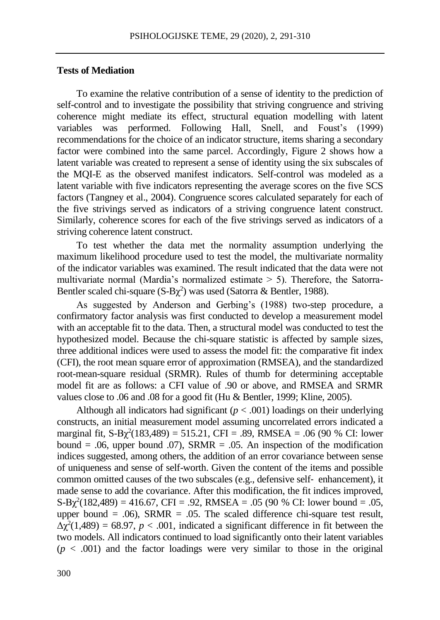### **Tests of Mediation**

To examine the relative contribution of a sense of identity to the prediction of self-control and to investigate the possibility that striving congruence and striving coherence might mediate its effect, structural equation modelling with latent variables was performed. Following Hall, Snell, and Foust's (1999) recommendations for the choice of an indicator structure, items sharing a secondary factor were combined into the same parcel. Accordingly, Figure 2 shows how a latent variable was created to represent a sense of identity using the six subscales of the MQI-E as the observed manifest indicators. Self-control was modeled as a latent variable with five indicators representing the average scores on the five SCS factors (Tangney et al., 2004). Congruence scores calculated separately for each of the five strivings served as indicators of a striving congruence latent construct. Similarly, coherence scores for each of the five strivings served as indicators of a striving coherence latent construct.

To test whether the data met the normality assumption underlying the maximum likelihood procedure used to test the model, the multivariate normality of the indicator variables was examined. The result indicated that the data were not multivariate normal (Mardia's normalized estimate  $> 5$ ). Therefore, the Satorra-Bentler scaled chi-square  $(S-B\chi^2)$  was used (Satorra & Bentler, 1988).

As suggested by Anderson and Gerbing's (1988) two-step procedure, a confirmatory factor analysis was first conducted to develop a measurement model with an acceptable fit to the data. Then, a structural model was conducted to test the hypothesized model. Because the chi-square statistic is affected by sample sizes, three additional indices were used to assess the model fit: the comparative fit index (CFI), the root mean square error of approximation (RMSEA), and the standardized root-mean-square residual (SRMR). Rules of thumb for determining acceptable model fit are as follows: a CFI value of .90 or above, and RMSEA and SRMR values close to .06 and .08 for a good fit (Hu & Bentler, 1999; Kline, 2005).

Although all indicators had significant  $(p < .001)$  loadings on their underlying constructs, an initial measurement model assuming uncorrelated errors indicated a marginal fit,  $S-B\chi^2(183,489) = 515.21$ , CFI = .89, RMSEA = .06 (90 % CI: lower bound = .06, upper bound .07), SRMR = .05. An inspection of the modification indices suggested, among others, the addition of an error covariance between sense of uniqueness and sense of self-worth. Given the content of the items and possible common omitted causes of the two subscales (e.g., defensive self-enhancement), it made sense to add the covariance. After this modification, the fit indices improved,  $S-B\chi^2(182,489) = 416.67$ , CFI = .92, RMSEA = .05 (90 % CI: lower bound = .05, upper bound  $= .06$ ), SRMR  $= .05$ . The scaled difference chi-square test result,  $\Delta \chi^2(1,489) = 68.97$ ,  $p < .001$ , indicated a significant difference in fit between the two models. All indicators continued to load significantly onto their latent variables  $(p < .001)$  and the factor loadings were very similar to those in the original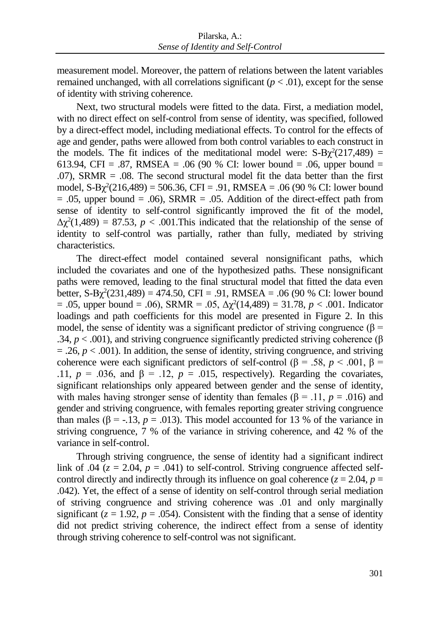measurement model. Moreover, the pattern of relations between the latent variables remained unchanged, with all correlations significant  $(p < .01)$ , except for the sense of identity with striving coherence.

Next, two structural models were fitted to the data. First, a mediation model, with no direct effect on self-control from sense of identity, was specified, followed by a direct-effect model, including mediational effects. To control for the effects of age and gender, paths were allowed from both control variables to each construct in the models. The fit indices of the meditational model were:  $S-B\chi^2(217,489) =$ 613.94, CFI = .87, RMSEA = .06 (90 % CI: lower bound = .06, upper bound =  $.07$ ), SRMR =  $.08$ . The second structural model fit the data better than the first model,  $S-B\chi^2(216,489) = 506.36$ , CFI = .91, RMSEA = .06 (90 % CI: lower bound  $= .05$ , upper bound  $= .06$ ), SRMR  $= .05$ . Addition of the direct-effect path from sense of identity to self-control significantly improved the fit of the model,  $\Delta \chi^2(1,489) = 87.53$ ,  $p < .001$ . This indicated that the relationship of the sense of identity to self-control was partially, rather than fully, mediated by striving characteristics.

The direct-effect model contained several nonsignificant paths, which included the covariates and one of the hypothesized paths. These nonsignificant paths were removed, leading to the final structural model that fitted the data even better,  $S-B\chi^2(231,489) = 474.50$ , CFI = .91, RMSEA = .06 (90 % CI: lower bound = .05, upper bound = .06), SRMR = .05,  $Δχ²(14,489) = 31.78, p < .001$ . Indicator loadings and path coefficients for this model are presented in Figure 2. In this model, the sense of identity was a significant predictor of striving congruence ( $\beta$  = .34,  $p < .001$ ), and striving congruence significantly predicted striving coherence ( $\beta$  $= .26, p < .001$ ). In addition, the sense of identity, striving congruence, and striving coherence were each significant predictors of self-control (β = .58, *p* < .001, β = .11,  $p = .036$ , and  $\beta = .12$ ,  $p = .015$ , respectively). Regarding the covariates, significant relationships only appeared between gender and the sense of identity, with males having stronger sense of identity than females ( $\beta$  = .11, *p* = .016) and gender and striving congruence, with females reporting greater striving congruence than males ( $\beta$  = -.13,  $p = .013$ ). This model accounted for 13 % of the variance in striving congruence, 7 % of the variance in striving coherence, and 42 % of the variance in self-control.

Through striving congruence, the sense of identity had a significant indirect link of .04 ( $z = 2.04$ ,  $p = .041$ ) to self-control. Striving congruence affected selfcontrol directly and indirectly through its influence on goal coherence ( $z = 2.04$ ,  $p =$ .042). Yet, the effect of a sense of identity on self-control through serial mediation of striving congruence and striving coherence was .01 and only marginally significant  $(z = 1.92, p = .054)$ . Consistent with the finding that a sense of identity did not predict striving coherence, the indirect effect from a sense of identity through striving coherence to self-control was not significant.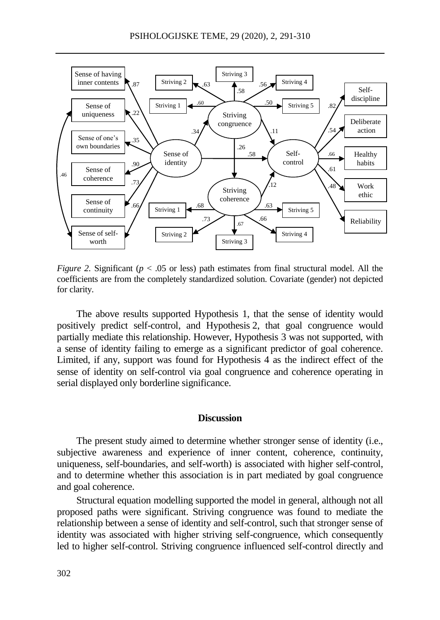

*Figure 2.* Significant ( $p < .05$  or less) path estimates from final structural model. All the coefficients are from the completely standardized solution. Covariate (gender) not depicted for clarity.

The above results supported Hypothesis 1, that the sense of identity would positively predict self-control, and Hypothesis 2, that goal congruence would partially mediate this relationship. However, Hypothesis 3 was not supported, with a sense of identity failing to emerge as a significant predictor of goal coherence. Limited, if any, support was found for Hypothesis  $4^{\circ}$  as the indirect effect of the sense of identity on self-control via goal congruence and coherence operating in serial displayed only borderline significance.

### **Discussion**

The present study aimed to determine whether stronger sense of identity (i.e., subjective awareness and experience of inner content, coherence, continuity, uniqueness, self-boundaries, and self-worth) is associated with higher self-control, and to determine whether this association is in part mediated by goal congruence and goal coherence.

Structural equation modelling supported the model in general, although not all proposed paths were significant. Striving congruence was found to mediate the relationship between a sense of identity and self-control, such that stronger sense of identity was associated with higher striving self-congruence, which consequently led to higher self-control. Striving congruence influenced self-control directly and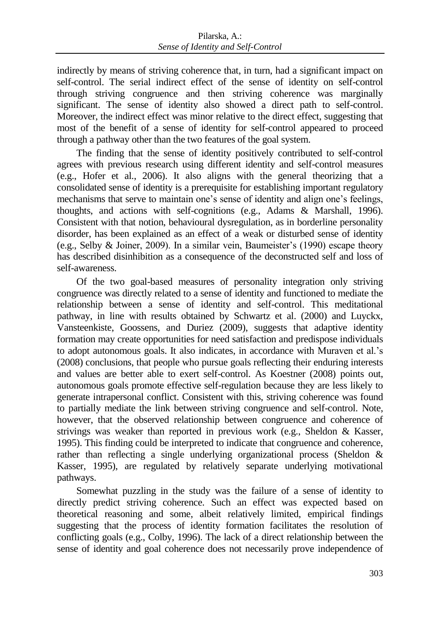indirectly by means of striving coherence that, in turn, had a significant impact on self-control. The serial indirect effect of the sense of identity on self-control through striving congruence and then striving coherence was marginally significant. The sense of identity also showed a direct path to self-control. Moreover, the indirect effect was minor relative to the direct effect, suggesting that most of the benefit of a sense of identity for self-control appeared to proceed through a pathway other than the two features of the goal system.

The finding that the sense of identity positively contributed to self-control agrees with previous research using different identity and self-control measures (e.g., Hofer et al., 2006). It also aligns with the general theorizing that a consolidated sense of identity is a prerequisite for establishing important regulatory mechanisms that serve to maintain one's sense of identity and align one's feelings, thoughts, and actions with self-cognitions (e.g., Adams & Marshall, 1996). Consistent with that notion, behavioural dysregulation, as in borderline personality disorder, has been explained as an effect of a weak or disturbed sense of identity (e.g., Selby & Joiner, 2009). In a similar vein, Baumeister's (1990) escape theory has described disinhibition as a consequence of the deconstructed self and loss of self-awareness.

Of the two goal-based measures of personality integration only striving congruence was directly related to a sense of identity and functioned to mediate the relationship between a sense of identity and self-control. This meditational pathway, in line with results obtained by Schwartz et al. (2000) and Luyckx, Vansteenkiste, Goossens, and Duriez (2009), suggests that adaptive identity formation may create opportunities for need satisfaction and predispose individuals to adopt autonomous goals. It also indicates, in accordance with Muraven et al.'s (2008) conclusions, that people who pursue goals reflecting their enduring interests and values are better able to exert self-control. As Koestner (2008) points out, autonomous goals promote effective self-regulation because they are less likely to generate intrapersonal conflict. Consistent with this, striving coherence was found to partially mediate the link between striving congruence and self-control. Note, however, that the observed relationship between congruence and coherence of strivings was weaker than reported in previous work (e.g., Sheldon & Kasser, 1995). This finding could be interpreted to indicate that congruence and coherence, rather than reflecting a single underlying organizational process (Sheldon & Kasser, 1995), are regulated by relatively separate underlying motivational pathways.

Somewhat puzzling in the study was the failure of a sense of identity to directly predict striving coherence. Such an effect was expected based on theoretical reasoning and some, albeit relatively limited, empirical findings suggesting that the process of identity formation facilitates the resolution of conflicting goals (e.g., Colby, 1996). The lack of a direct relationship between the sense of identity and goal coherence does not necessarily prove independence of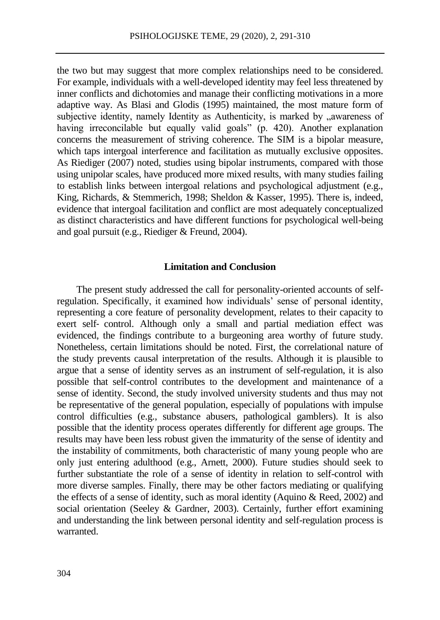the two but may suggest that more complex relationships need to be considered. For example, individuals with a well-developed identity may feel less threatened by inner conflicts and dichotomies and manage their conflicting motivations in a more adaptive way. As Blasi and Glodis (1995) maintained, the most mature form of subjective identity, namely Identity as Authenticity, is marked by "awareness of having irreconcilable but equally valid goals" (p. 420). Another explanation concerns the measurement of striving coherence. The SIM is a bipolar measure, which taps intergoal interference and facilitation as mutually exclusive opposites. As Riediger (2007) noted, studies using bipolar instruments, compared with those using unipolar scales, have produced more mixed results, with many studies failing to establish links between intergoal relations and psychological adjustment (e.g., King, Richards, & Stemmerich, 1998; Sheldon & Kasser, 1995). There is, indeed, evidence that intergoal facilitation and conflict are most adequately conceptualized as distinct characteristics and have different functions for psychological well-being and goal pursuit (e.g., Riediger & Freund, 2004).

#### **Limitation and Conclusion**

The present study addressed the call for personality-oriented accounts of selfregulation. Specifically, it examined how individuals' sense of personal identity, representing a core feature of personality development, relates to their capacity to exert self-control. Although only a small and partial mediation effect was evidenced, the findings contribute to a burgeoning area worthy of future study. Nonetheless, certain limitations should be noted. First, the correlational nature of the study prevents causal interpretation of the results. Although it is plausible to argue that a sense of identity serves as an instrument of self-regulation, it is also possible that self-control contributes to the development and maintenance of a sense of identity. Second, the study involved university students and thus may not be representative of the general population, especially of populations with impulse control difficulties (e.g., substance abusers, pathological gamblers). It is also possible that the identity process operates differently for different age groups. The results may have been less robust given the immaturity of the sense of identity and the instability of commitments, both characteristic of many young people who are only just entering adulthood (e.g., Arnett, 2000). Future studies should seek to further substantiate the role of a sense of identity in relation to self-control with more diverse samples. Finally, there may be other factors mediating or qualifying the effects of a sense of identity, such as moral identity (Aquino & Reed, 2002) and social orientation (Seeley & Gardner, 2003). Certainly, further effort examining and understanding the link between personal identity and self-regulation process is warranted.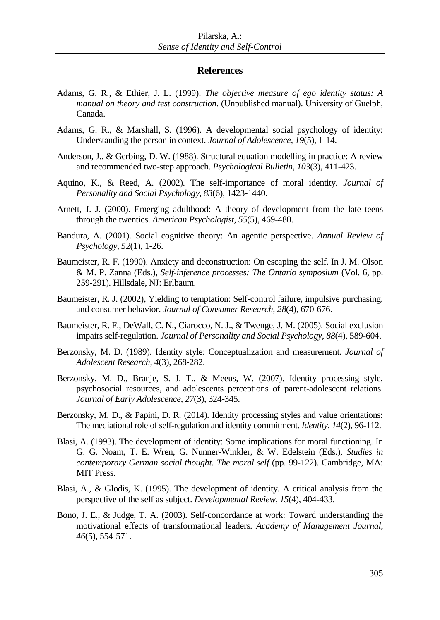#### **References**

- Adams, G. R., & Ethier, J. L. (1999). *The objective measure of ego identity status: A manual on theory and test construction*. (Unpublished manual). University of Guelph, Canada.
- Adams, G. R., & Marshall, S. (1996). A developmental social psychology of identity: Understanding the person in context. *Journal of Adolescence*, *19*(5), 1-14.
- Anderson, J., & Gerbing, D. W. (1988). Structural equation modelling in practice: A review and recommended two-step approach. *Psychological Bulletin*, *103*(3), 411-423.
- Aquino, K., & Reed, A. (2002). The self-importance of moral identity*. Journal of Personality and Social Psychology*, *83*(6), 1423-1440.
- Arnett, J. J. (2000). Emerging adulthood: A theory of development from the late teens through the twenties. *American Psychologist*, *55*(5), 469-480.
- Bandura, A. (2001). Social cognitive theory: An agentic perspective. *Annual Review of Psychology*, *52*(1), 1-26.
- Baumeister, R. F. (1990). Anxiety and deconstruction: On escaping the self. In J. M. Olson & M. P. Zanna (Eds.), *Self-inference processes: The Ontario symposium* (Vol. 6, pp. 259-291). Hillsdale, NJ: Erlbaum.
- Baumeister, R. J. (2002), Yielding to temptation: Self-control failure, impulsive purchasing, and consumer behavior. *Journal of Consumer Research*, *28*(4), 670-676.
- Baumeister, R. F., DeWall, C. N., Ciarocco, N. J., & Twenge, J. M. (2005). Social exclusion impairs self-regulation. *Journal of Personality and Social Psychology, 88*(4), 589-604.
- Berzonsky, M. D. (1989). Identity style: Conceptualization and measurement. *Journal of Adolescent Research*, *4*(3), 268-282.
- Berzonsky, M. D., Branje, S. J. T., & Meeus, W. (2007). Identity processing style, psychosocial resources, and adolescents perceptions of parent-adolescent relations. *Journal of Early Adolescence*, *27*(3), 324-345.
- Berzonsky, M. D., & Papini, D. R. (2014). Identity processing styles and value orientations: The mediational role of self-regulation and identity commitment. *Identity*, *14*(2), 96-112.
- Blasi, A. (1993). The development of identity: Some implications for moral functioning. In G. G. Noam, T. E. Wren, G. Nunner-Winkler, & W. Edelstein (Eds.), *Studies in contemporary German social thought. The moral self* (pp. 99-122). Cambridge, MA: MIT Press.
- Blasi, A., & Glodis, K. (1995). The development of identity. A critical analysis from the perspective of the self as subject. *Developmental Review*, *15*(4), 404-433.
- Bono, J. E., & Judge, T. A. (2003). Self-concordance at work: Toward understanding the motivational effects of transformational leaders. *Academy of Management Journal*, *46*(5), 554-571.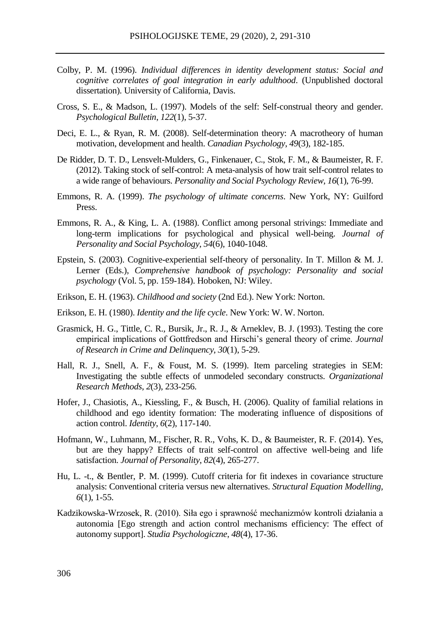- Colby, P. M. (1996). *Individual differences in identity development status: Social and cognitive correlates of goal integration in early adulthood*. (Unpublished doctoral dissertation). University of California, Davis.
- Cross, S. E., & Madson, L. (1997). Models of the self: Self-construal theory and gender. *Psychological Bulletin*, *122*(1), 5-37.
- Deci, E. L., & Ryan, R. M. (2008). Self-determination theory: A macrotheory of human motivation, development and health. *Canadian Psychology*, *49*(3), 182-185.
- De Ridder, D. T. D., Lensvelt-Mulders, G., Finkenauer, C., Stok, F. M., & Baumeister, R. F. (2012). Taking stock of self-control: A meta-analysis of how trait self-control relates to a wide range of behaviours. *Personality and Social Psychology Review*, *16*(1), 76-99.
- Emmons, R. A. (1999). *The psychology of ultimate concerns*. New York, NY: Guilford Press.
- Emmons, R. A., & King, L. A. (1988). Conflict among personal strivings: Immediate and long-term implications for psychological and physical well-being. *Journal of Personality and Social Psychology*, *54*(6), 1040-1048.
- Epstein, S. (2003). Cognitive-experiential self-theory of personality. In T. Millon & M. J. Lerner (Eds.), *Comprehensive handbook of psychology: Personality and social psychology* (Vol. 5, pp. 159-184). Hoboken, NJ: Wiley.
- Erikson, E. H. (1963). *Childhood and society* (2nd Ed.). New York: Norton.
- Erikson, E. H. (1980). *Identity and the life cycle*. New York: W. W. Norton.
- Grasmick, H. G., Tittle, C. R., Bursik, Jr., R. J., & Arneklev, B. J. (1993). Testing the core empirical implications of Gottfredson and Hirschi's general theory of crime. *Journal of Research in Crime and Delinquency*, *30*(1), 5-29.
- Hall, R. J., Snell, A. F., & Foust, M. S. (1999). Item parceling strategies in SEM: Investigating the subtle effects of unmodeled secondary constructs. *Organizational Research Methods*, *2*(3), 233-256.
- Hofer, J., Chasiotis, A., Kiessling, F., & Busch, H. (2006). Quality of familial relations in childhood and ego identity formation: The moderating influence of dispositions of action control. *Identity*, *6*(2), 117-140.
- Hofmann, W., Luhmann, M., Fischer, R. R., Vohs, K. D., & Baumeister, R. F. (2014). Yes, but are they happy? Effects of trait self-control on affective well-being and life satisfaction. *Journal of Personality*, *82*(4), 265-277.
- Hu, L. -t., & Bentler, P. M. (1999). Cutoff criteria for fit indexes in covariance structure analysis: Conventional criteria versus new alternatives. *Structural Equation Modelling, 6*(1), 1-55.
- Kadzikowska-Wrzosek, R. (2010). Siła ego i sprawność mechanizmów kontroli działania a autonomia [Ego strength and action control mechanisms efficiency: The effect of autonomy support]. *Studia Psychologiczne*, *48*(4), 17-36.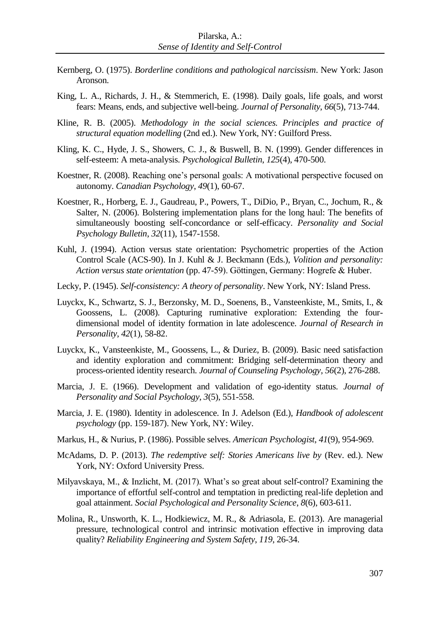- Kernberg, O. (1975). *Borderline conditions and pathological narcissism*. New York: Jason Aronson.
- King, L. A., Richards, J. H., & Stemmerich, E. (1998). Daily goals, life goals, and worst fears: Means, ends, and subjective well-being. *Journal of Personality*, *66*(5), 713-744.
- Kline, R. B. (2005). *Methodology in the social sciences. Principles and practice of structural equation modelling* (2nd ed.). New York, NY: Guilford Press.
- Kling, K. C., Hyde, J. S., Showers, C. J., & Buswell, B. N. (1999). Gender differences in self-esteem: A meta-analysis. *Psychological Bulletin*, *125*(4), 470-500.
- Koestner, R. (2008). Reaching one's personal goals: A motivational perspective focused on autonomy. *Canadian Psychology*, *49*(1), 60-67.
- Koestner, R., Horberg, E. J., Gaudreau, P., Powers, T., DiDio, P., Bryan, C., Jochum, R., & Salter, N. (2006). Bolstering implementation plans for the long haul: The benefits of simultaneously boosting self-concordance or self-efficacy. *Personality and Social Psychology Bulletin*, *32*(11), 1547-1558.
- Kuhl, J. (1994). Action versus state orientation: Psychometric properties of the Action Control Scale (ACS-90). In J. Kuhl & J. Beckmann (Eds.), *Volition and personality: Action versus state orientation* (pp. 47-59). Göttingen, Germany: Hogrefe & Huber.
- Lecky, P. (1945). *Self-consistency: A theory of personality*. New York, NY: Island Press.
- Luyckx, K., Schwartz, S. J., Berzonsky, M. D., Soenens, B., Vansteenkiste, M., Smits, I., & Goossens, L. (2008). Capturing ruminative exploration: Extending the fourdimensional model of identity formation in late adolescence. *Journal of Research in Personality*, *42*(1), 58-82.
- Luyckx, K., Vansteenkiste, M., Goossens, L., & Duriez, B. (2009). Basic need satisfaction and identity exploration and commitment: Bridging self-determination theory and process-oriented identity research. *Journal of Counseling Psychology*, *56*(2), 276-288.
- Marcia, J. E. (1966). Development and validation of ego-identity status. *Journal of Personality and Social Psychology*, *3*(5), 551-558.
- Marcia, J. E. (1980). Identity in adolescence. In J. Adelson (Ed.), *Handbook of adolescent psychology* (pp. 159-187). New York, NY: Wiley.
- Markus, H., & Nurius, P. (1986). Possible selves. *American Psychologist*, *41*(9), 954-969.
- McAdams, D. P. (2013). *The redemptive self: Stories Americans live by* (Rev. ed.). New York, NY: Oxford University Press.
- Milyavskaya, M., & Inzlicht, M. (2017). What's so great about self-control? Examining the importance of effortful self-control and temptation in predicting real-life depletion and goal attainment. *Social Psychological and Personality Science*, *8*(6), 603-611.
- Molina, R., Unsworth, K. L., Hodkiewicz, M. R., & Adriasola, E. (2013). Are managerial pressure, technological control and intrinsic motivation effective in improving data quality? *Reliability Engineering and System Safety*, *119*, 26-34.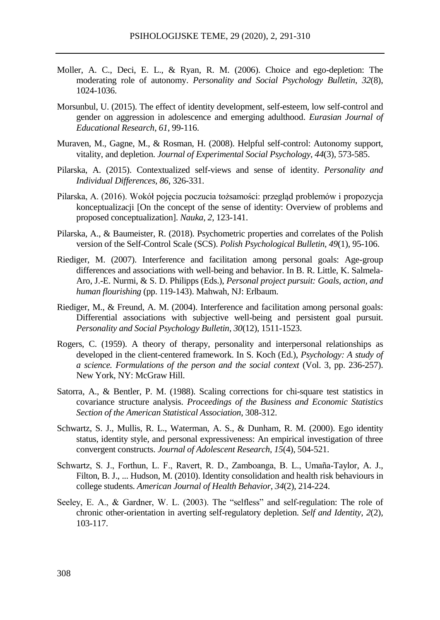- Moller, A. C., Deci, E. L., & Ryan, R. M. (2006). Choice and ego-depletion: The moderating role of autonomy. *Personality and Social Psychology Bulletin*, *32*(8), 1024-1036.
- Morsunbul, U. (2015). The effect of identity development, self-esteem, low self-control and gender on aggression in adolescence and emerging adulthood. *Eurasian Journal of Educational Research*, *61*, 99-116.
- Muraven, M., Gagne, M., & Rosman, H. (2008). Helpful self-control: Autonomy support, vitality, and depletion. *Journal of Experimental Social Psychology*, *44*(3)*,* 573-585.
- Pilarska, A. (2015). Contextualized self-views and sense of identity. *Personality and Individual Differences, 86*, 326-331.
- Pilarska, A. (2016). Wokół pojęcia poczucia tożsamości: przegląd problemów i propozycja konceptualizacji [On the concept of the sense of identity: Overview of problems and proposed conceptualization]. *Nauka, 2*, 123-141.
- Pilarska, A., & Baumeister, R. (2018). Psychometric properties and correlates of the Polish version of the Self-Control Scale (SCS). *Polish Psychological Bulletin, 49*(1), 95-106.
- Riediger, M. (2007). Interference and facilitation among personal goals: Age-group differences and associations with well-being and behavior. In B. R. Little, K. Salmela-Aro, J.-E. Nurmi, & S. D. Philipps (Eds.), *Personal project pursuit: Goals, action, and human flourishing* (pp. 119-143). Mahwah, NJ: Erlbaum.
- Riediger, M., & Freund, A. M. (2004). Interference and facilitation among personal goals: Differential associations with subjective well-being and persistent goal pursuit. *Personality and Social Psychology Bulletin*, *30*(12), 1511-1523.
- Rogers, C. (1959). A theory of therapy, personality and interpersonal relationships as developed in the client-centered framework. In S. Koch (Ed.), *Psychology: A study of a science. Formulations of the person and the social context* (Vol. 3, pp. 236-257). New York, NY: McGraw Hill.
- Satorra, A., & Bentler, P. M. (1988). Scaling corrections for chi-square test statistics in covariance structure analysis. *Proceedings of the Business and Economic Statistics Section of the American Statistical Association*, 308-312.
- Schwartz, S. J., Mullis, R. L., Waterman, A. S., & Dunham, R. M. (2000). Ego identity status, identity style, and personal expressiveness: An empirical investigation of three convergent constructs. *Journal of Adolescent Research*, *15*(4), 504-521.
- Schwartz, S. J., Forthun, L. F., Ravert, R. D., Zamboanga, B. L., Umaña-Taylor, A. J., Filton, B. J., ... Hudson, M. (2010). Identity consolidation and health risk behaviours in college students. *American Journal of Health Behavior*, *34*(2), 214-224.
- Seeley, E. A., & Gardner, W. L. (2003). The "selfless" and self-regulation: The role of chronic other-orientation in averting self-regulatory depletion. *Self and Identity*, *2*(2)*,* 103-117.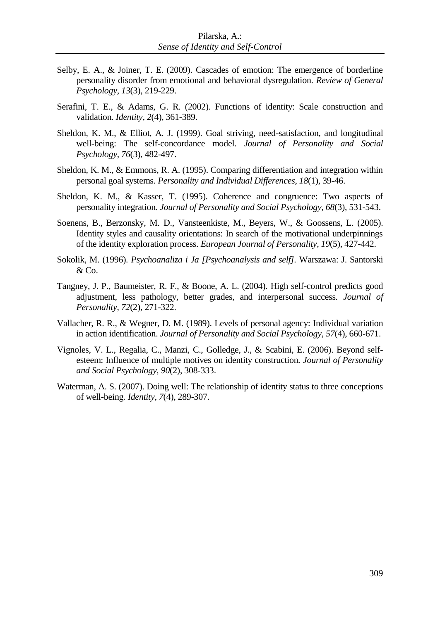- Selby, E. A., & Joiner, T. E. (2009). Cascades of emotion: The emergence of borderline personality disorder from emotional and behavioral dysregulation. *Review of General Psychology*, *13*(3), 219-229.
- Serafini, T. E., & Adams, G. R. (2002). Functions of identity: Scale construction and validation. *Identity*, *2*(4), 361-389.
- Sheldon, K. M., & Elliot, A. J. (1999). Goal striving, need-satisfaction, and longitudinal well-being: The self-concordance model. *Journal of Personality and Social Psychology*, *76*(3), 482-497.
- Sheldon, K. M., & Emmons, R. A. (1995). Comparing differentiation and integration within personal goal systems. *Personality and Individual Differences*, *18*(1), 39-46.
- Sheldon, K. M., & Kasser, T. (1995). Coherence and congruence: Two aspects of personality integration. *Journal of Personality and Social Psychology*, *68*(3), 531-543.
- Soenens, B., Berzonsky, M. D., Vansteenkiste, M., Beyers, W., & Goossens, L. (2005). Identity styles and causality orientations: In search of the motivational underpinnings of the identity exploration process. *European Journal of Personality, 19*(5), 427-442.
- Sokolik, M. (1996). *Psychoanaliza i Ja [Psychoanalysis and self].* Warszawa: J. Santorski & Co.
- Tangney, J. P., Baumeister, R. F., & Boone, A. L. (2004). High self-control predicts good adjustment, less pathology, better grades, and interpersonal success. *Journal of Personality*, *72*(2), 271-322.
- Vallacher, R. R., & Wegner, D. M. (1989). Levels of personal agency: Individual variation in action identification. *Journal of Personality and Social Psychology*, *57*(4), 660-671.
- Vignoles, V. L., Regalia, C., Manzi, C., Golledge, J., & Scabini, E. (2006). Beyond selfesteem: Influence of multiple motives on identity construction*. Journal of Personality and Social Psychology*, *90*(2), 308-333.
- Waterman, A. S. (2007). Doing well: The relationship of identity status to three conceptions of well-being*. Identity*, *7*(4), 289-307.